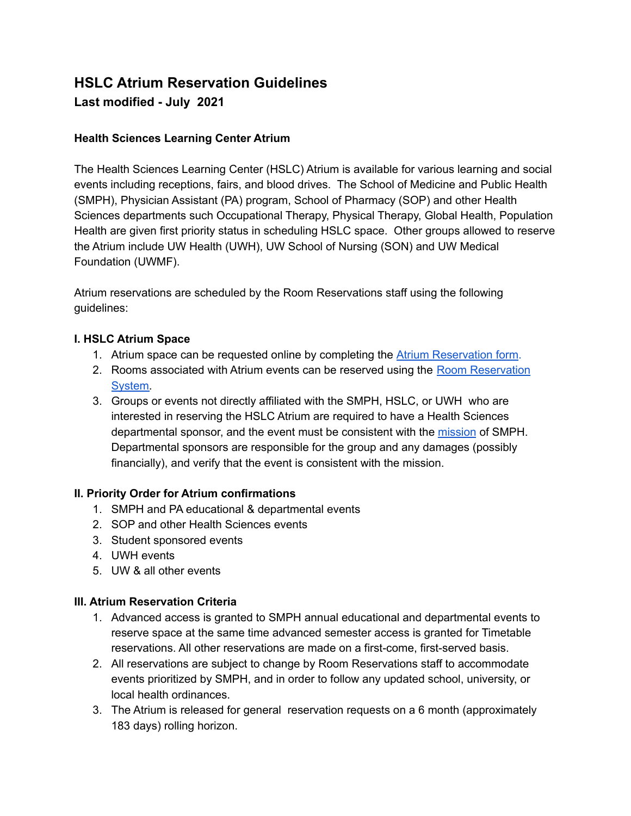# **HSLC Atrium Reservation Guidelines Last modified - July 2021**

# **Health Sciences Learning Center Atrium**

The Health Sciences Learning Center (HSLC) Atrium is available for various learning and social events including receptions, fairs, and blood drives. The School of Medicine and Public Health (SMPH), Physician Assistant (PA) program, School of Pharmacy (SOP) and other Health Sciences departments such Occupational Therapy, Physical Therapy, Global Health, Population Health are given first priority status in scheduling HSLC space. Other groups allowed to reserve the Atrium include UW Health (UWH), UW School of Nursing (SON) and UW Medical Foundation (UWMF).

Atrium reservations are scheduled by the Room Reservations staff using the following guidelines:

## **I. HSLC Atrium Space**

- 1. Atrium space can be requested online by completing the Atrium [Reservation](http://go.wisc.edu/HSLCAtriumRequest) form.
- 2. Rooms associated with Atrium events can be reserved using the Room [Reservation](https://smph.ems.wisc.edu) [System.](https://smph.ems.wisc.edu)
- 3. Groups or events not directly affiliated with the SMPH, HSLC, or UWH who are interested in reserving the HSLC Atrium are required to have a Health Sciences departmental sponsor, and the event must be consistent with the [mission](https://www.med.wisc.edu/about-us/mission-values-and-diversity-commitment/) of SMPH. Departmental sponsors are responsible for the group and any damages (possibly financially), and verify that the event is consistent with the mission.

#### **II. Priority Order for Atrium confirmations**

- 1. SMPH and PA educational & departmental events
- 2. SOP and other Health Sciences events
- 3. Student sponsored events
- 4. UWH events
- 5. UW & all other events

#### **III. Atrium Reservation Criteria**

- 1. Advanced access is granted to SMPH annual educational and departmental events to reserve space at the same time advanced semester access is granted for Timetable reservations. All other reservations are made on a first-come, first-served basis.
- 2. All reservations are subject to change by Room Reservations staff to accommodate events prioritized by SMPH, and in order to follow any updated school, university, or local health ordinances.
- 3. The Atrium is released for general reservation requests on a 6 month (approximately 183 days) rolling horizon.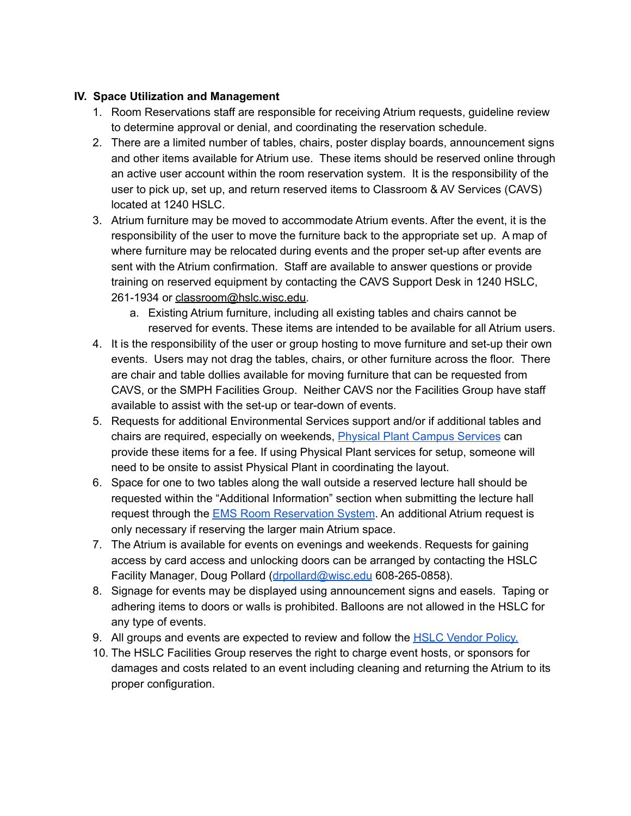# **IV. Space Utilization and Management**

- 1. Room Reservations staff are responsible for receiving Atrium requests, guideline review to determine approval or denial, and coordinating the reservation schedule.
- 2. There are a limited number of tables, chairs, poster display boards, announcement signs and other items available for Atrium use. These items should be reserved online through an active user account within the room reservation system. It is the responsibility of the user to pick up, set up, and return reserved items to Classroom & AV Services (CAVS) located at 1240 HSLC.
- 3. Atrium furniture may be moved to accommodate Atrium events. After the event, it is the responsibility of the user to move the furniture back to the appropriate set up. A map of where furniture may be relocated during events and the proper set-up after events are sent with the Atrium confirmation. Staff are available to answer questions or provide training on reserved equipment by contacting the CAVS Support Desk in 1240 HSLC, 261-1934 or [classroom@hslc.wisc.edu.](mailto:classroom@hslc.wisc.edu)
	- a. Existing Atrium furniture, including all existing tables and chairs cannot be reserved for events. These items are intended to be available for all Atrium users.
- 4. It is the responsibility of the user or group hosting to move furniture and set-up their own events. Users may not drag the tables, chairs, or other furniture across the floor. There are chair and table dollies available for moving furniture that can be requested from CAVS, or the SMPH Facilities Group. Neither CAVS nor the Facilities Group have staff available to assist with the set-up or tear-down of events.
- 5. Requests for additional Environmental Services support and/or if additional tables and chairs are required, especially on weekends, **Physical Plant Campus [Services](https://physicalplant.wisc.edu/)** can provide these items for a fee. If using Physical Plant services for setup, someone will need to be onsite to assist Physical Plant in coordinating the layout.
- 6. Space for one to two tables along the wall outside a reserved lecture hall should be requested within the "Additional Information" section when submitting the lecture hall request through the EMS Room [Reservation](https://smph.ems.wisc.edu/) System. An additional Atrium request is only necessary if reserving the larger main Atrium space.
- 7. The Atrium is available for events on evenings and weekends. Requests for gaining access by card access and unlocking doors can be arranged by contacting the HSLC Facility Manager, Doug Pollard ([drpollard@wisc.edu](mailto:drpollard@wisc.edu) 608-265-0858).
- 8. Signage for events may be displayed using announcement signs and easels. Taping or adhering items to doors or walls is prohibited. Balloons are not allowed in the HSLC for any type of events.
- 9. All groups and events are expected to review and follow the HSLC [Vendor](https://www.med.wisc.edu/our-campus/hslc/vendor-policy/) Policy.
- 10. The HSLC Facilities Group reserves the right to charge event hosts, or sponsors for damages and costs related to an event including cleaning and returning the Atrium to its proper configuration.